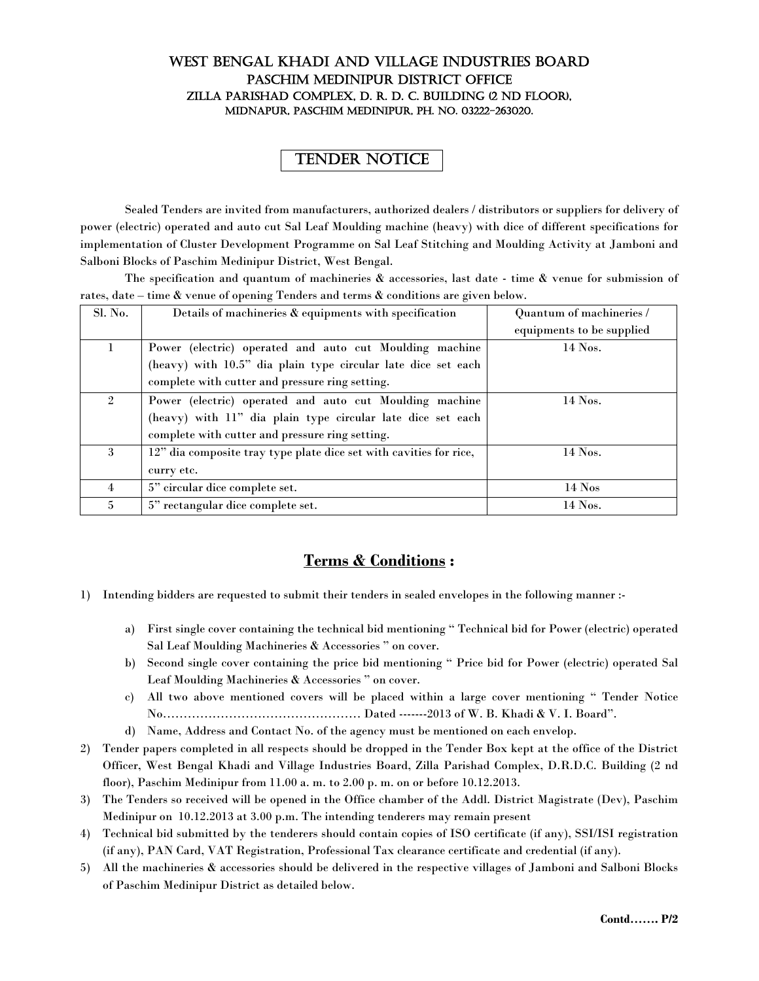## WEST BENGAL KHADI AND VILLAGE INDUSTRIES BOARD PASCHIM MEDINIPUR DISTRICT OFFICE ZILLA PARISHAD COMPLEX, D. R. D. C. BUILDING (2 ND FLOOR), MIDNAPUR, PASCHIM MEDINIPUR, PH. NO. 03222-263020.

## TENDER NOTICE

Sealed Tenders are invited from manufacturers, authorized dealers / distributors or suppliers for delivery of power (electric) operated and auto cut Sal Leaf Moulding machine (heavy) with dice of different specifications for implementation of Cluster Development Programme on Sal Leaf Stitching and Moulding Activity at Jamboni and Salboni Blocks of Paschim Medinipur District, West Bengal.

The specification and quantum of machineries & accessories, last date - time & venue for submission of rates, date – time & venue of opening Tenders and terms & conditions are given below.

| Sl. No.        | Details of machineries & equipments with specification             | Quantum of machineries /  |  |
|----------------|--------------------------------------------------------------------|---------------------------|--|
|                |                                                                    | equipments to be supplied |  |
| L              | Power (electric) operated and auto cut Moulding machine            | $14$ Nos.                 |  |
|                | (heavy) with 10.5" dia plain type circular late dice set each      |                           |  |
|                | complete with cutter and pressure ring setting.                    |                           |  |
| $\mathfrak{D}$ | Power (electric) operated and auto cut Moulding machine            | $14$ Nos.                 |  |
|                | (heavy) with 11" dia plain type circular late dice set each        |                           |  |
|                | complete with cutter and pressure ring setting.                    |                           |  |
| $\mathbf{3}$   | 12" dia composite tray type plate dice set with cavities for rice, | $14$ Nos.                 |  |
|                | curry etc.                                                         |                           |  |
| 4              | 5" circular dice complete set.                                     | $14$ Nos                  |  |
| $5^{\circ}$    | 5" rectangular dice complete set.                                  | $14$ Nos.                 |  |

## **Terms & Conditions :**

- 1) Intending bidders are requested to submit their tenders in sealed envelopes in the following manner :
	- a) First single cover containing the technical bid mentioning " Technical bid for Power (electric) operated Sal Leaf Moulding Machineries & Accessories " on cover.
	- b) Second single cover containing the price bid mentioning " Price bid for Power (electric) operated Sal Leaf Moulding Machineries & Accessories " on cover.
	- c) All two above mentioned covers will be placed within a large cover mentioning " Tender Notice No………………………………………… Dated -------2013 of W. B. Khadi & V. I. Board".
	- d) Name, Address and Contact No. of the agency must be mentioned on each envelop.
- 2) Tender papers completed in all respects should be dropped in the Tender Box kept at the office of the District Officer, West Bengal Khadi and Village Industries Board, Zilla Parishad Complex, D.R.D.C. Building (2 nd floor), Paschim Medinipur from 11.00 a. m. to 2.00 p. m. on or before 10.12.2013.
- 3) The Tenders so received will be opened in the Office chamber of the Addl. District Magistrate (Dev), Paschim Medinipur on 10.12.2013 at 3.00 p.m. The intending tenderers may remain present
- 4) Technical bid submitted by the tenderers should contain copies of ISO certificate (if any), SSI/ISI registration (if any), PAN Card, VAT Registration, Professional Tax clearance certificate and credential (if any).
- 5) All the machineries & accessories should be delivered in the respective villages of Jamboni and Salboni Blocks of Paschim Medinipur District as detailed below.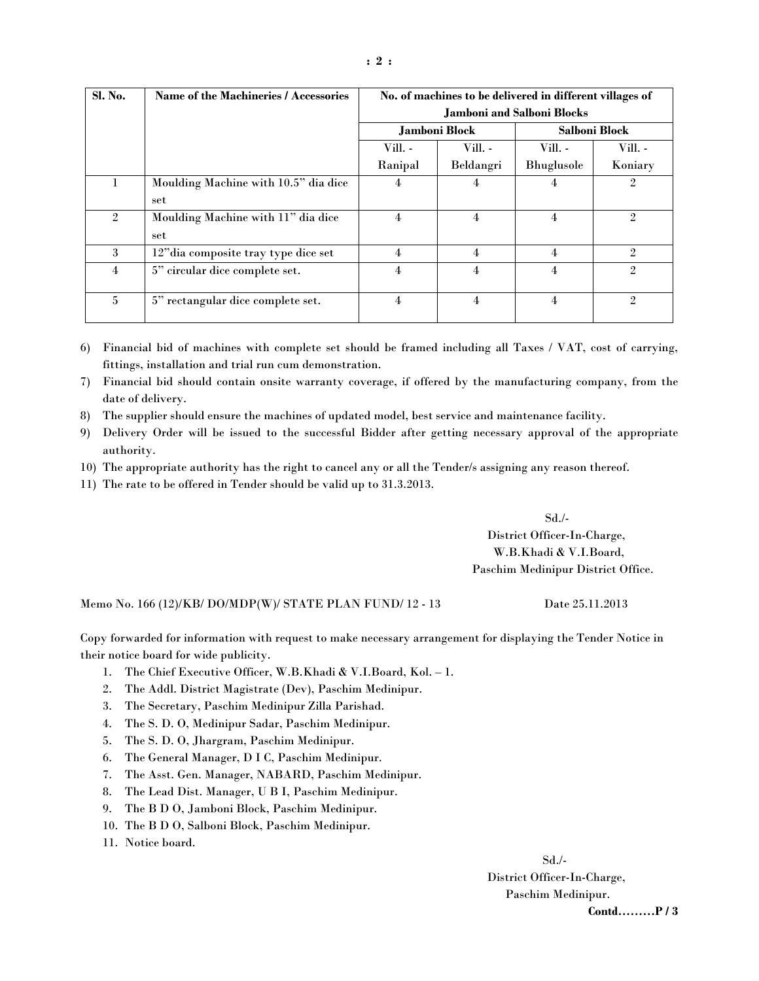| Sl. No.        | Name of the Machineries / Accessories | No. of machines to be delivered in different villages of |                |               |                |
|----------------|---------------------------------------|----------------------------------------------------------|----------------|---------------|----------------|
|                |                                       | <b>Jamboni and Salboni Blocks</b>                        |                |               |                |
|                |                                       | Jamboni Block                                            |                | Salboni Block |                |
|                |                                       | Vill. -                                                  | Vill. -        | Vill. -       | Vill. -        |
|                |                                       | Ranipal                                                  | Beldangri      | Bhuglusole    | Koniary        |
|                | Moulding Machine with 10.5" dia dice  | 4                                                        | 4              | 4             | $\mathfrak{2}$ |
|                | set                                   |                                                          |                |               |                |
| $\mathfrak{2}$ | Moulding Machine with 11" dia dice    | 4                                                        | 4              | 4             | $\overline{2}$ |
|                | set                                   |                                                          |                |               |                |
| 3              | 12" dia composite tray type dice set  | 4                                                        | 4              | 4             | $\mathfrak{2}$ |
| 4              | 5" circular dice complete set.        | 4                                                        | 4              | 4             | $\mathfrak{2}$ |
|                |                                       |                                                          |                |               |                |
| $\mathbf{5}$   | 5" rectangular dice complete set.     | 4                                                        | $\overline{4}$ | 4             | $\mathfrak{2}$ |

6) Financial bid of machines with complete set should be framed including all Taxes / VAT, cost of carrying, fittings, installation and trial run cum demonstration.

7) Financial bid should contain onsite warranty coverage, if offered by the manufacturing company, from the date of delivery.

8) The supplier should ensure the machines of updated model, best service and maintenance facility.

9) Delivery Order will be issued to the successful Bidder after getting necessary approval of the appropriate authority.

10) The appropriate authority has the right to cancel any or all the Tender/s assigning any reason thereof.

11) The rate to be offered in Tender should be valid up to 31.3.2013.

 $Sd$ ./-

 District Officer-In-Charge, W.B.Khadi & V.I.Board, Paschim Medinipur District Office.

Memo No. 166 (12)/KB/ DO/MDP(W)/ STATE PLAN FUND/ 12 - 13 Date 25.11.2013

Copy forwarded for information with request to make necessary arrangement for displaying the Tender Notice in their notice board for wide publicity.

- 1. The Chief Executive Officer, W.B.Khadi & V.I.Board, Kol. 1.
- 2. The Addl. District Magistrate (Dev), Paschim Medinipur.
- 3. The Secretary, Paschim Medinipur Zilla Parishad.
- 4. The S. D. O, Medinipur Sadar, Paschim Medinipur.
- 5. The S. D. O, Jhargram, Paschim Medinipur.
- 6. The General Manager, D I C, Paschim Medinipur.
- 7. The Asst. Gen. Manager, NABARD, Paschim Medinipur.
- 8. The Lead Dist. Manager, U B I, Paschim Medinipur.
- 9. The B D O, Jamboni Block, Paschim Medinipur.
- 10. The B D O, Salboni Block, Paschim Medinipur.
- 11. Notice board.

 Sd./- District Officer-In-Charge, Paschim Medinipur.  **Contd………P / 3**